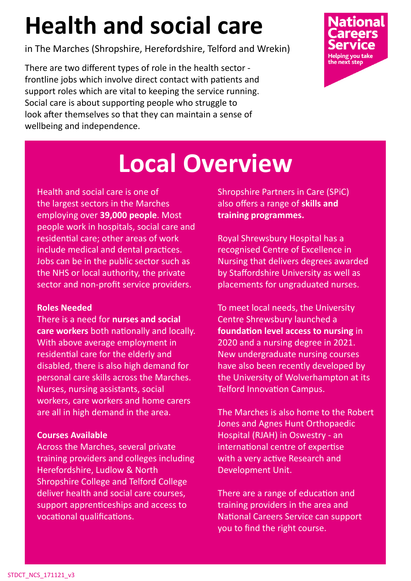# **Health and social care**

in The Marches (Shropshire, Herefordshire, Telford and Wrekin)

There are two different types of role in the health sector frontline jobs which involve direct contact with patients and support roles which are vital to keeping the service running. Social care is about supporting people who struggle to look after themselves so that they can maintain a sense of wellbeing and independence.



## **Local Overview**

Health and social care is one of the largest sectors in the Marches employing over **39,000 people**. Most people work in hospitals, social care and residential care; other areas of work include medical and dental practices. Jobs can be in the public sector such as the NHS or local authority, the private sector and non-profit service providers.

#### **Roles Needed**

There is a need for **nurses and social care workers** both nationally and locally. With above average employment in residential care for the elderly and disabled, there is also high demand for personal care skills across the Marches. Nurses, nursing assistants, social workers, care workers and home carers are all in high demand in the area.

#### **Courses Available**

Across the Marches, several private training providers and colleges including Herefordshire, Ludlow & North Shropshire College and Telford College deliver health and social care courses, support apprenticeships and access to vocational qualifications.

Shropshire Partners in Care (SPiC) also offers a range of **skills and training programmes.**

Royal Shrewsbury Hospital has a recognised Centre of Excellence in Nursing that delivers degrees awarded by Staffordshire University as well as placements for ungraduated nurses.

To meet local needs, the University Centre Shrewsbury launched a **foundation level access to nursing** in 2020 and a nursing degree in 2021. New undergraduate nursing courses have also been recently developed by the University of Wolverhampton at its Telford Innovation Campus.

The Marches is also home to the Robert Jones and Agnes Hunt Orthopaedic Hospital (RJAH) in Oswestry - an international centre of expertise with a very active Research and Development Unit.

There are a range of education and training providers in the area and National Careers Service can support you to find the right course.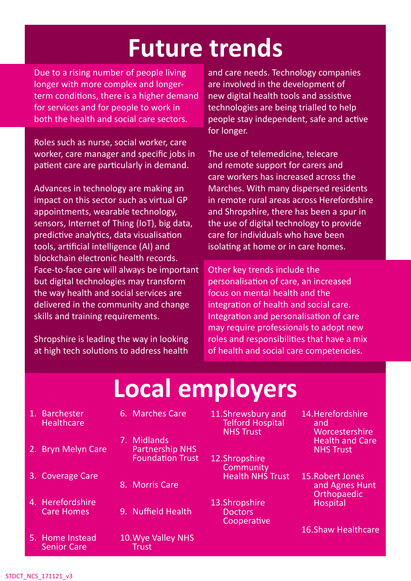#### **Future trends**

Due to a rising number of people living longer with more complex and longerterm conditions, there is a higher demand for services and for people to work in both the health and social care sectors.

Roles such as nurse, social worker, care worker, care manager and specific jobs in patient care are particularly in demand.

Advances in technology are making an impact on this sector such as virtual GP appointments, wearable technology, sensors, Internet of Thing (IoT), big data, predictive analytics, data visualisation tools, artificial intelligence (AI) and blockchain electronic health records. Face-to-face care will always be important but digital technologies may transform the way health and social services are delivered in the community and change skills and training requirements.

Shropshire is leading the way in looking at high tech solutions to address health and care needs. Technology companies are involved in the development of new digital health tools and assistive technologies are being trialled to help people stay independent, safe and active for longer.

The use of telemedicine, telecare and remote support for carers and care workers has increased across the Marches. With many dispersed residents in remote rural areas across Herefordshire and Shropshire, there has been a spur in the use of digital technology to provide care for individuals who have been isolating at home or in care homes.

Other key trends include the personalisation of care, an increased focus on mental health and the integration of health and social care. Integration and personalisation of care may require professionals to adopt new roles and responsibilities that have a mix of health and social care competencies.

## **Local employers**

1. Barchester **Healthcare** 

2. Bryn Melyn Care

3. Coverage Care

4. Herefordshire Care Homes

- 6. Marches Care
- 7. Midlands Partnership NHS Foundation Trust
- 8. Morris Care
- 9. Nuffield Health
- 5. Home Instead Senior Care
- 
- 10.Wye Valley NHS **Trust**
- 11.Shrewsbury and Telford Hospital NHS Trust
- 12.Shropshire **Community** Health NHS Trust
- 13.Shropshire **Doctors Cooperative**
- 14.Herefordshire and **Worcestershire** Health and Care NHS Trust
- 15.Robert Jones and Agnes Hunt **Orthopaedic Hospital**

16.Shaw Healthcare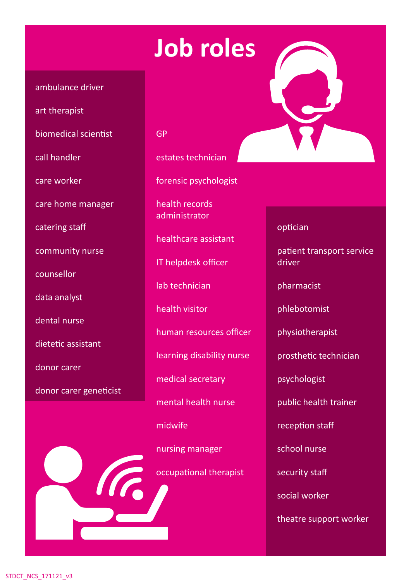### **Job roles**

#### ambulance driver

art therapist

biomedical scientist

call handler

care worker

care home manager

catering staff

community nurse

counsellor

data analyst

dental nurse

dietetic assistant

donor carer

donor carer geneticist

GP

estates technician

forensic psychologist

health records administrator

healthcare assistant

IT helpdesk officer

lab technician

health visitor

human resources officer

learning disability nurse

medical secretary

mental health nurse

midwife

nursing manager

occupational therapist



optician

patient transport service driver

pharmacist

phlebotomist

physiotherapist

prosthetic technician

psychologist

public health trainer

reception staff

school nurse

security staff

social worker

theatre support worker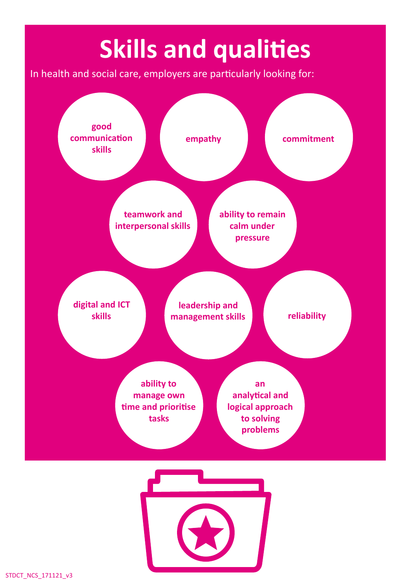# **Skills and qualities**

In health and social care, employers are particularly looking for: